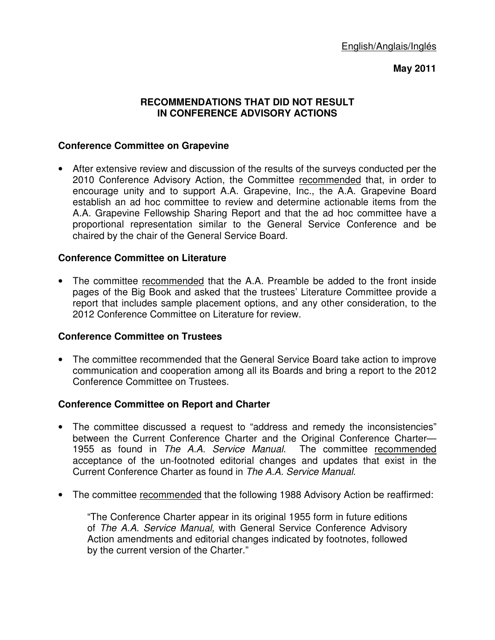# **May 2011**

#### **RECOMMENDATIONS THAT DID NOT RESULT IN CONFERENCE ADVISORY ACTIONS**

# **Conference Committee on Grapevine**

• After extensive review and discussion of the results of the surveys conducted per the 2010 Conference Advisory Action, the Committee recommended that, in order to encourage unity and to support A.A. Grapevine, Inc., the A.A. Grapevine Board establish an ad hoc committee to review and determine actionable items from the A.A. Grapevine Fellowship Sharing Report and that the ad hoc committee have a proportional representation similar to the General Service Conference and be chaired by the chair of the General Service Board.

## **Conference Committee on Literature**

• The committee recommended that the A.A. Preamble be added to the front inside pages of the Big Book and asked that the trustees' Literature Committee provide a report that includes sample placement options, and any other consideration, to the 2012 Conference Committee on Literature for review.

## **Conference Committee on Trustees**

• The committee recommended that the General Service Board take action to improve communication and cooperation among all its Boards and bring a report to the 2012 Conference Committee on Trustees.

## **Conference Committee on Report and Charter**

- The committee discussed a request to "address and remedy the inconsistencies" between the Current Conference Charter and the Original Conference Charter— 1955 as found in The A.A. Service Manual. The committee recommended acceptance of the un-footnoted editorial changes and updates that exist in the Current Conference Charter as found in The A.A. Service Manual.
- The committee recommended that the following 1988 Advisory Action be reaffirmed:

"The Conference Charter appear in its original 1955 form in future editions of The A.A. Service Manual, with General Service Conference Advisory Action amendments and editorial changes indicated by footnotes, followed by the current version of the Charter."